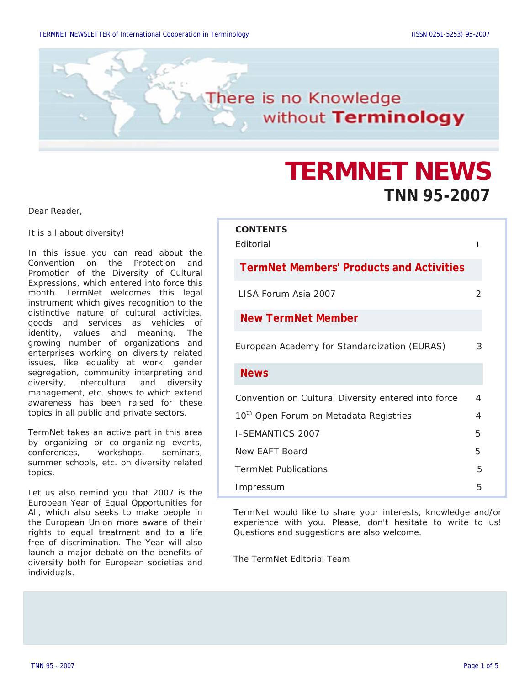

# **TERMNET NEWS TNN 95-2007**

Dear Reader,

It is all about diversity!

In this issue you can read about the Convention on the Protection and Promotion of the Diversity of Cultural Expressions, which entered into force this month. TermNet welcomes this legal instrument which gives recognition to the distinctive nature of cultural activities, goods and services as vehicles of identity, values and meaning. The growing number of organizations and enterprises working on diversity related issues, like equality at work, gender segregation, community interpreting and diversity, intercultural and diversity management, etc. shows to which extend awareness has been raised for these topics in all public and private sectors.

TermNet takes an active part in this area by organizing or co-organizing events, conferences, workshops, seminars, summer schools, etc. on diversity related topics.

Let us also remind you that 2007 is the European Year of Equal Opportunities for All, which also seeks to make people in the European Union more aware of their rights to equal treatment and to a life free of discrimination. The Year will also launch a major debate on the benefits of diversity both for European societies and individuals.

| <b>CONTENTS</b><br><b>F</b> ditorial                | 1 |
|-----------------------------------------------------|---|
| <b>TermNet Members' Products and Activities</b>     |   |
| LISA Forum Asia 2007                                | 2 |
| <b>New TermNet Member</b>                           |   |
| European Academy for Standardization (EURAS)        | 3 |
| <b>News</b>                                         |   |
| Convention on Cultural Diversity entered into force | 4 |
| 10 <sup>th</sup> Open Forum on Metadata Registries  | 4 |
| <b>I-SEMANTICS 2007</b>                             | 5 |
| New FAFT Board                                      | 5 |
| <b>TermNet Publications</b>                         | 5 |
| Impressum                                           | 5 |
|                                                     |   |

TermNet would like to share your interests, knowledge and/or experience with you. Please, don't hesitate to write to us! Questions and suggestions are also welcome.

The TermNet Editorial Team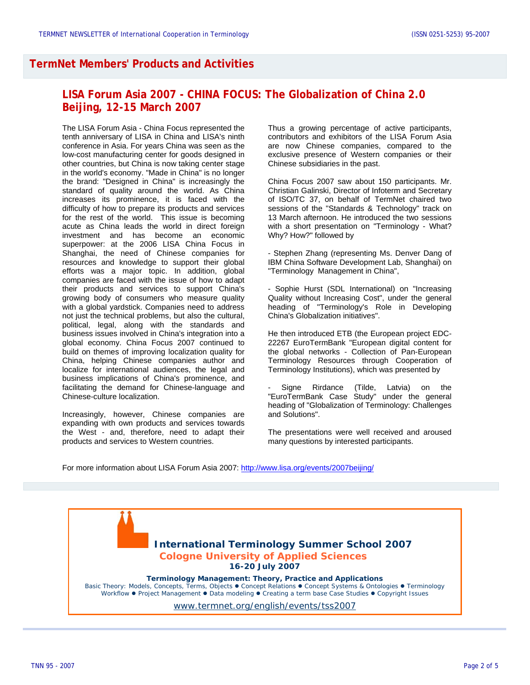## **TermNet Members' Products and Activities**

# **LISA Forum Asia 2007 - CHINA FOCUS: The Globalization of China 2.0 Beijing, 12-15 March 2007**

The LISA Forum Asia - China Focus represented the tenth anniversary of LISA in China and LISA's ninth conference in Asia. For years China was seen as the low-cost manufacturing center for goods designed in other countries, but China is now taking center stage in the world's economy. "Made in China" is no longer the brand: "Designed in China" is increasingly the standard of quality around the world. As China increases its prominence, it is faced with the difficulty of how to prepare its products and services for the rest of the world. This issue is becoming acute as China leads the world in direct foreign investment and has become an economic superpower: at the 2006 LISA China Focus in Shanghai, the need of Chinese companies for resources and knowledge to support their global efforts was a major topic. In addition, global companies are faced with the issue of how to adapt their products and services to support China's growing body of consumers who measure quality with a global yardstick. Companies need to address not just the technical problems, but also the cultural, political, legal, along with the standards and business issues involved in China's integration into a global economy. China Focus 2007 continued to build on themes of improving localization quality for China, helping Chinese companies author and localize for international audiences, the legal and business implications of China's prominence, and facilitating the demand for Chinese-language and Chinese-culture localization.

Increasingly, however, Chinese companies are expanding with own products and services towards the West - and, therefore, need to adapt their products and services to Western countries.

Thus a growing percentage of active participants, contributors and exhibitors of the LISA Forum Asia are now Chinese companies, compared to the exclusive presence of Western companies or their Chinese subsidiaries in the past.

China Focus 2007 saw about 150 participants. Mr. Christian Galinski, Director of Infoterm and Secretary of ISO/TC 37, on behalf of TermNet chaired two sessions of the "Standards & Technology" track on 13 March afternoon. He introduced the two sessions with a short presentation on "Terminology - What? Why? How?" followed by

- Stephen Zhang (representing Ms. Denver Dang of IBM China Software Development Lab, Shanghai) on "Terminology Management in China",

- Sophie Hurst (SDL International) on "Increasing Quality without Increasing Cost", under the general heading of "Terminology's Role in Developing China's Globalization initiatives".

He then introduced ETB (the European project EDC-22267 EuroTermBank "European digital content for the global networks - Collection of Pan-European Terminology Resources through Cooperation of Terminology Institutions), which was presented by

Signe Rirdance (Tilde, Latvia) on the "EuroTermBank Case Study" under the general heading of "Globalization of Terminology: Challenges

The presentations were well received and aroused many questions by interested participants.

For more information about LISA Forum Asia 2007: <http://www.lisa.org/events/2007beijing/>

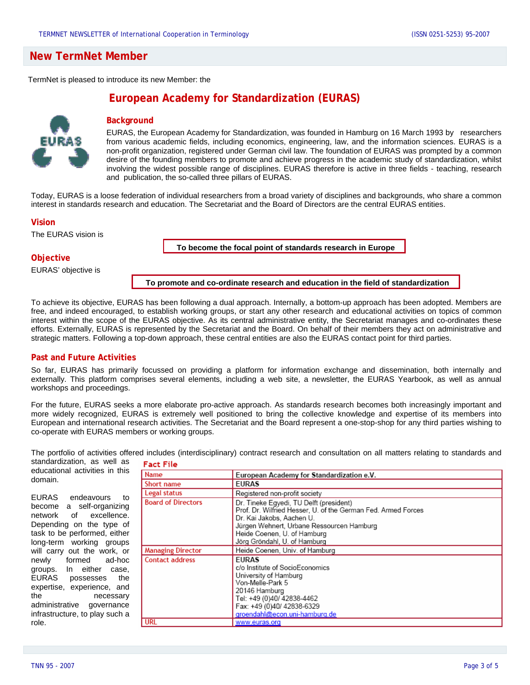## **New TermNet Member**

TermNet is pleased to introduce its new Member: the

# **European Academy for Standardization (EURAS)**



## **Background**

EURAS, the European Academy for Standardization, was founded in Hamburg on 16 March 1993 by researchers from various academic fields, including economics, engineering, law, and the information sciences. EURAS is a non-profit organization, registered under German civil law. The foundation of EURAS was prompted by a common desire of the founding members to promote and achieve progress in the academic study of standardization, whilst involving the widest possible range of disciplines. EURAS therefore is active in three fields - teaching, research and publication, the so-called three pillars of EURAS.

Today, EURAS is a loose federation of individual researchers from a broad variety of disciplines and backgrounds, who share a common interest in standards research and education. The Secretariat and the Board of Directors are the central EURAS entities.

#### **Vision**

The EURAS vision is

**To become the focal point of standards research in Europe**

#### **Objective**

EURAS' objective is

**To promote and co-ordinate research and education in the field of standardization** 

To achieve its objective, EURAS has been following a dual approach. Internally, a bottom-up approach has been adopted. Members are free, and indeed encouraged, to establish working groups, or start any other research and educational activities on topics of common interest within the scope of the EURAS objective. As its central administrative entity, the Secretariat manages and co-ordinates these efforts. Externally, EURAS is represented by the Secretariat and the Board. On behalf of their members they act on administrative and strategic matters. Following a top-down approach, these central entities are also the EURAS contact point for third parties.

#### **Past and Future Activities**

So far, EURAS has primarily focussed on providing a platform for information exchange and dissemination, both internally and externally. This platform comprises several elements, including a web site, a newsletter, the EURAS Yearbook, as well as annual workshops and proceedings.

For the future, EURAS seeks a more elaborate pro-active approach. As standards research becomes both increasingly important and more widely recognized, EURAS is extremely well positioned to bring the collective knowledge and expertise of its members into European and international research activities. The Secretariat and the Board represent a one-stop-shop for any third parties wishing to co-operate with EURAS members or working groups.

The portfolio of activities offered includes (interdisciplinary) contract research and consultation on all matters relating to standards and

standardization, as well as educational activities in this domain.

**Fact File** 

EURAS endeavours to become a self-organizing network of excellence. Depending on the type of task to be performed, either long-term working groups will carry out the work, or newly formed ad-hoc groups. In either case, EURAS possesses the expertise, experience, and the necessary administrative governance infrastructure, to play such a role.

| Name                      | European Academy for Standardization e.V.                                                                                                                                                                                                         |
|---------------------------|---------------------------------------------------------------------------------------------------------------------------------------------------------------------------------------------------------------------------------------------------|
| Short name                | <b>EURAS</b>                                                                                                                                                                                                                                      |
| Legal status              | Registered non-profit society                                                                                                                                                                                                                     |
| <b>Board of Directors</b> | Dr. Tineke Egyedi, TU Delft (president)<br>Prof. Dr. Wilfried Hesser, U. of the German Fed. Armed Forces<br>Dr. Kai Jakobs, Aachen U.<br>Jürgen Wehnert, Urbane Ressourcen Hamburg<br>Heide Coenen, U. of Hamburg<br>Jörg Gröndahl, U. of Hamburg |
| <b>Managing Director</b>  | Heide Coenen, Univ. of Hamburg                                                                                                                                                                                                                    |
| <b>Contact address</b>    | <b>FURAS</b><br>c/o Institute of SocioEconomics<br>University of Hamburg<br>Von-Melle-Park 5<br>20146 Hamburg<br>Tel: +49 (0)40/ 42838-4462<br>Fax: +49 (0)40/ 42838-6329<br>groendahl@econ.uni-hamburg.de                                        |
| <b>URL</b>                | www.euras.org                                                                                                                                                                                                                                     |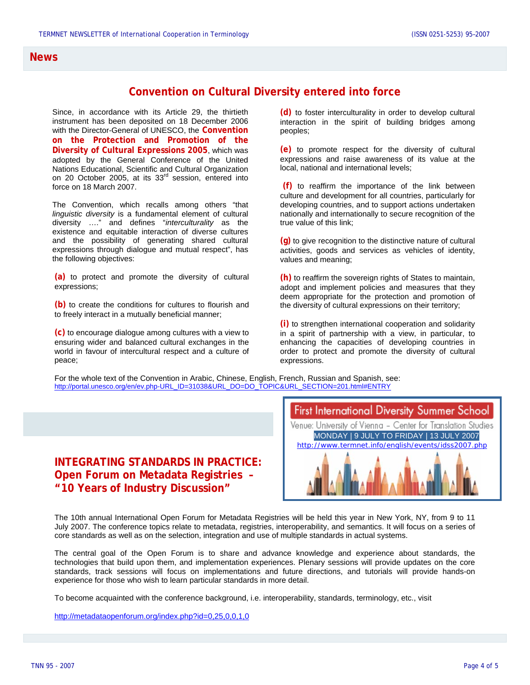## **News**

# **Convention on Cultural Diversity entered into force**

Since, in accordance with its Article 29, the thirtieth instrument has been deposited on 18 December 2006 with the Director-General of UNESCO, the **Convention on the Protection and Promotion of the Diversity of Cultural Expressions 2005**, which was adopted by the General Conference of the United Nations Educational, Scientific and Cultural Organization on 20 October 2005, at its  $33<sup>rd</sup>$  session, entered into force on 18 March 2007.

The Convention, which recalls among others "that *linguistic diversity* is a fundamental element of cultural diversity …." and defines "*interculturality* as the existence and equitable interaction of diverse cultures and the possibility of generating shared cultural expressions through dialogue and mutual respect", has the following objectives:

**(a)** to protect and promote the diversity of cultural expressions;

**(b)** to create the conditions for cultures to flourish and to freely interact in a mutually beneficial manner;

**(c)** to encourage dialogue among cultures with a view to ensuring wider and balanced cultural exchanges in the world in favour of intercultural respect and a culture of peace;

**(d)** to foster interculturality in order to develop cultural interaction in the spirit of building bridges among peoples;

**(e)** to promote respect for the diversity of cultural expressions and raise awareness of its value at the local, national and international levels;

 **(f)** to reaffirm the importance of the link between culture and development for all countries, particularly for developing countries, and to support actions undertaken nationally and internationally to secure recognition of the true value of this link;

**(g)** to give recognition to the distinctive nature of cultural activities, goods and services as vehicles of identity, values and meaning;

**(h)** to reaffirm the sovereign rights of States to maintain, adopt and implement policies and measures that they deem appropriate for the protection and promotion of the diversity of cultural expressions on their territory;

**(i)** to strengthen international cooperation and solidarity in a spirit of partnership with a view, in particular, to enhancing the capacities of developing countries in order to protect and promote the diversity of cultural expressions.

For the whole text of the Convention in Arabic, Chinese, English, French, Russian and Spanish, see: [http://portal.unesco.org/en/ev.php-URL\\_ID=31038&URL\\_DO=DO\\_TOPIC&URL\\_SECTION=201.html#ENTRY](http://portal.unesco.org/en/ev.php-URL_ID=31038&URL_DO=DO_TOPIC&URL_SECTION=201.html#ENTRY)

# **INTEGRATING STANDARDS IN PRACTICE: Open Forum on Metadata Registries – "10 Years of Industry Discussion"**



The 10th annual International Open Forum for Metadata Registries will be held this year in New York, NY, from 9 to 11 July 2007. The conference topics relate to metadata, registries, interoperability, and semantics. It will focus on a series of core standards as well as on the selection, integration and use of multiple standards in actual systems.

The central goal of the Open Forum is to share and advance knowledge and experience about standards, the technologies that build upon them, and implementation experiences. Plenary sessions will provide updates on the core standards, track sessions will focus on implementations and future directions, and tutorials will provide hands-on experience for those who wish to learn particular standards in more detail.

To become acquainted with the conference background, i.e. interoperability, standards, terminology, etc., visit

<http://metadataopenforum.org/index.php?id=0,25,0,0,1,0>